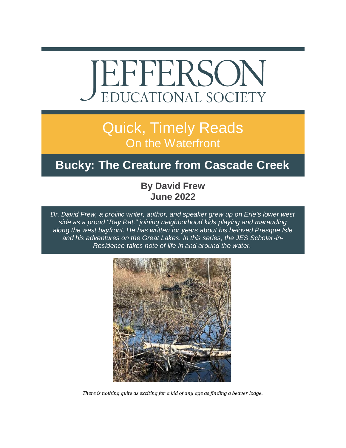

# Quick, Timely Reads On the Waterfront

## **Bucky: The Creature from Cascade Creek**

#### **By David Frew June 2022**

*Dr. David Frew, a prolific writer, author, and speaker grew up on Erie's lower west side as a proud "Bay Rat," joining neighborhood kids playing and marauding along the west bayfront. He has written for years about his beloved Presque Isle and his adventures on the Great Lakes. In this series, the JES Scholar-in-Residence takes note of life in and around the water.*



*There is nothing quite as exciting for a kid of any age as finding a beaver lodge.*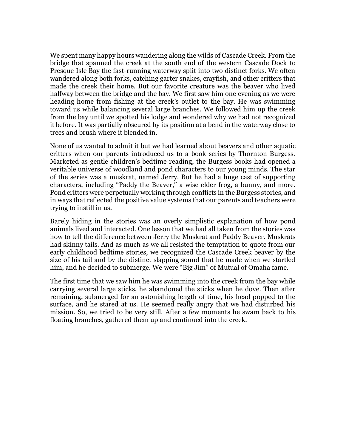We spent many happy hours wandering along the wilds of Cascade Creek. From the bridge that spanned the creek at the south end of the western Cascade Dock to Presque Isle Bay the fast-running waterway split into two distinct forks. We often wandered along both forks, catching garter snakes, crayfish, and other critters that made the creek their home. But our favorite creature was the beaver who lived halfway between the bridge and the bay. We first saw him one evening as we were heading home from fishing at the creek's outlet to the bay. He was swimming toward us while balancing several large branches. We followed him up the creek from the bay until we spotted his lodge and wondered why we had not recognized it before. It was partially obscured by its position at a bend in the waterway close to trees and brush where it blended in.

None of us wanted to admit it but we had learned about beavers and other aquatic critters when our parents introduced us to a book series by Thornton Burgess. Marketed as gentle children's bedtime reading, the Burgess books had opened a veritable universe of woodland and pond characters to our young minds. The star of the series was a muskrat, named Jerry. But he had a huge cast of supporting characters, including "Paddy the Beaver," a wise elder frog, a bunny, and more. Pond critters were perpetually working through conflicts in the Burgess stories, and in ways that reflected the positive value systems that our parents and teachers were trying to instill in us.

Barely hiding in the stories was an overly simplistic explanation of how pond animals lived and interacted. One lesson that we had all taken from the stories was how to tell the difference between Jerry the Muskrat and Paddy Beaver. Muskrats had skinny tails. And as much as we all resisted the temptation to quote from our early childhood bedtime stories, we recognized the Cascade Creek beaver by the size of his tail and by the distinct slapping sound that he made when we startled him, and he decided to submerge. We were "Big Jim" of Mutual of Omaha fame.

The first time that we saw him he was swimming into the creek from the bay while carrying several large sticks, he abandoned the sticks when he dove. Then after remaining, submerged for an astonishing length of time, his head popped to the surface, and he stared at us. He seemed really angry that we had disturbed his mission. So, we tried to be very still. After a few moments he swam back to his floating branches, gathered them up and continued into the creek.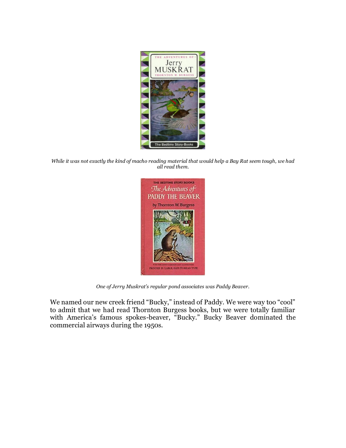

*While it was not exactly the kind of macho reading material that would help a Bay Rat seem tough, we had all read them.*



*One of Jerry Muskrat's regular pond associates was Paddy Beaver.*

We named our new creek friend "Bucky," instead of Paddy. We were way too "cool" to admit that we had read Thornton Burgess books, but we were totally familiar with America's famous spokes-beaver, "Bucky." Bucky Beaver dominated the commercial airways during the 1950s.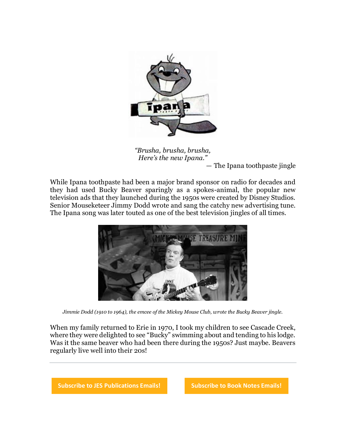

*"Brusha, brusha, brusha, Here's the new Ipana."* — The Ipana toothpaste jingle

While Ipana toothpaste had been a major brand sponsor on radio for decades and they had used Bucky Beaver sparingly as a spokes-animal, the popular new television ads that they launched during the 1950s were created by Disney Studios. Senior Mouseketeer Jimmy Dodd wrote and sang the catchy new advertising tune. The Ipana song was later touted as one of the best television jingles of all times.



*Jimmie Dodd (1910 to 1964), the emcee of the Mickey Mouse Club, wrote the Bucky Beaver jingle.*

When my family returned to Erie in 1970, I took my children to see Cascade Creek, where they were delighted to see "Bucky" swimming about and tending to his lodge. Was it the same beaver who had been there during the 1950s? Just maybe. Beavers regularly live well into their 20s!

**[Subscribe to JES Publications Emails!](https://r20.rs6.net/tn.jsp?f=001hfxdqjCwba44CiepBzZnC7HbMjdSuaQjCl56nnVnacu9S7KHHjkpWDMbMnWF1lN5JAijNZecZ3a81x71p5JqE5E-UpJ--iwgBPZeZlR80LVMDNw_vyrxjJHPvL5bGnt7FWZ8-yeiRkzlvHz4C6CXBVgGLPSmuHBqKtOWwbjj4_ax_oGdVIKT6GNI15tVdWasf0WAjCIwvAK8WM0mfoltOcmL8wu6AXKBbEZR9si1JmF5eSA9y6JWFsiCFpk7Y0e1DwEoiGMjpbcoqkWWqWN0VU5xQ37NwLcwy7xNK_8wYhGhYTyE1IyTwhtIdKyyPJayKDSxhfaqLujz1_dd-sE3pSF1my1v1uYT0LgHDpxpT9o=&c=u3Of90wW7nUKAjdbytnZGG01ZJrGO9YO3njGL_srrvSbUaZqd7CB8w==&ch=jLULcd1mz2j8jZxzsV8Iw_UHXRv7pP1Mpy8VGnL5WfSunIfCeqHHAQ==) [Subscribe to Book Notes Emails!](https://r20.rs6.net/tn.jsp?f=001hfxdqjCwba44CiepBzZnC7HbMjdSuaQjCl56nnVnacu9S7KHHjkpWDMbMnWF1lN594tSAEWm8PuJ26lW74z1zpsZXfJIoO6TvB3UUx5ZnuG3gpiOJXJiWiGYfkTnMdsOR5lCCdXUloUzVf2J_ffl96HR7AZ3raBZB638viiZCo-uKBl7Stz1-iAru-Dw2ZmsfcEMxLrdLOO07mWlE54kIHHh5IU3NExM_9RDioU_66kjIWCzJBG_WgsHGNXIJB1i7KcSAyjwpJuquWgKZCONwO1-d3ZVNFwHX7Qe0gkWfU5qEbkYu7QQg6V9jEkASxeszfxi5qnPTsymlXTxlbsggQEjTYIXfEyQmUjaHdrqlRA=&c=u3Of90wW7nUKAjdbytnZGG01ZJrGO9YO3njGL_srrvSbUaZqd7CB8w==&ch=jLULcd1mz2j8jZxzsV8Iw_UHXRv7pP1Mpy8VGnL5WfSunIfCeqHHAQ==)**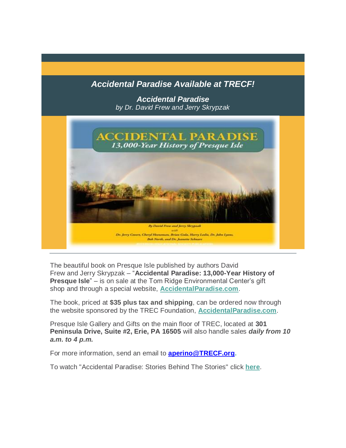#### *Accidental Paradise Available at TRECF!*

*Accidental Paradise by Dr. David Frew and Jerry Skrypzak* 



The beautiful book on Presque Isle published by authors David Frew and Jerry Skrypzak – "**Accidental Paradise: 13,000-Year History of Presque Isle**" – is on sale at the Tom Ridge Environmental Center's gift shop and through a special website, **[AccidentalParadise.com](https://r20.rs6.net/tn.jsp?f=001EIJ4bWInbAgZbfubFkRC6CJbiNPBnDNmlUevQbPeCp1CHyPy1PudVT_GBGMKCgQkI5_hxwzW8RAuM_JPgy-OW4cwbEtSpi2bXvIzjjPOzDvf5Za4YQ6DXvK7wLRR56asG7Ya4wMn-TbrCz2fsITPjg==&c=WAaU3N0-L4YGB3ynOn-kUkgM_yiuLjPWr84Za7eXf1C6hqLg9eYUwQ==&ch=CjD0a-KMcO9BAvzxTmthj-rGDyoqC43eKwiy7Xv9UvzdH29THLJyEw==)**.

The book, priced at **\$35 plus tax and shipping**, can be ordered now through the website sponsored by the TREC Foundation, **[AccidentalParadise.com](https://r20.rs6.net/tn.jsp?f=001EIJ4bWInbAgZbfubFkRC6CJbiNPBnDNmlUevQbPeCp1CHyPy1PudVSoSqIsYDhcA2SVqGDFbvwXgwDL8Czp1wjUocXtAllu6z186Q0Y8g_KhSkRdZX9w7zBMb3-ovne_jE0DF8YyX2sBzca0-7AbuWORKrz902cn9WpYIdN3_Ho=&c=WAaU3N0-L4YGB3ynOn-kUkgM_yiuLjPWr84Za7eXf1C6hqLg9eYUwQ==&ch=CjD0a-KMcO9BAvzxTmthj-rGDyoqC43eKwiy7Xv9UvzdH29THLJyEw==)**.

Presque Isle Gallery and Gifts on the main floor of TREC, located at **301 Peninsula Drive, Suite #2, Erie, PA 16505** will also handle sales *daily from 10 a.m. to 4 p.m.*

For more information, send an email to **[aperino@TRECF.org.](mailto:aperino@TRECF.org)**

To watch "Accidental Paradise: Stories Behind The Stories" click **[here](https://r20.rs6.net/tn.jsp?f=001EIJ4bWInbAgZbfubFkRC6CJbiNPBnDNmlUevQbPeCp1CHyPy1PudVSoSqIsYDhcADYmNoBPGxBZ1-4y1KleSguYPYDvB1zSMRerJBfcuaLH0e3z_VX77sufLH-MJ5RyfuLkHkTbnhg5-strVFZTtBg==&c=WAaU3N0-L4YGB3ynOn-kUkgM_yiuLjPWr84Za7eXf1C6hqLg9eYUwQ==&ch=CjD0a-KMcO9BAvzxTmthj-rGDyoqC43eKwiy7Xv9UvzdH29THLJyEw==)**.